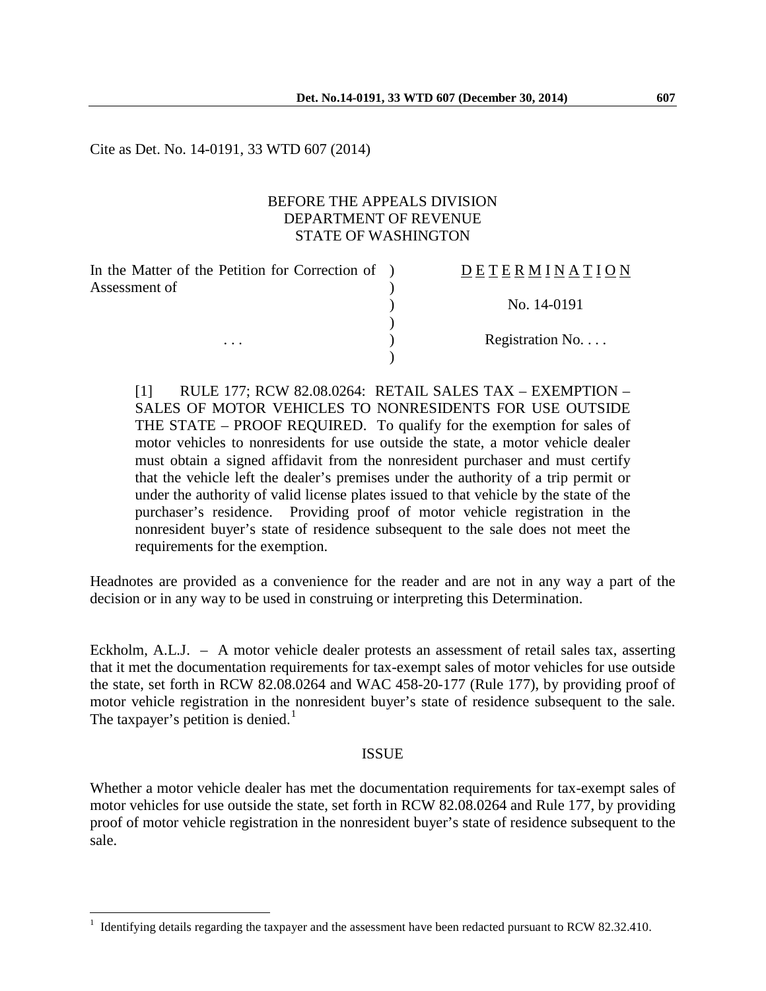Cite as Det. No. 14-0191, 33 WTD 607 (2014)

## BEFORE THE APPEALS DIVISION DEPARTMENT OF REVENUE STATE OF WASHINGTON

| In the Matter of the Petition for Correction of ) | DETERMINATION   |
|---------------------------------------------------|-----------------|
| Assessment of                                     |                 |
|                                                   | No. 14-0191     |
|                                                   |                 |
| $\cdots$                                          | Registration No |
|                                                   |                 |

[1] RULE 177; RCW 82.08.0264: RETAIL SALES TAX – EXEMPTION – SALES OF MOTOR VEHICLES TO NONRESIDENTS FOR USE OUTSIDE THE STATE – PROOF REQUIRED. To qualify for the exemption for sales of motor vehicles to nonresidents for use outside the state, a motor vehicle dealer must obtain a signed affidavit from the nonresident purchaser and must certify that the vehicle left the dealer's premises under the authority of a trip permit or under the authority of valid license plates issued to that vehicle by the state of the purchaser's residence. Providing proof of motor vehicle registration in the nonresident buyer's state of residence subsequent to the sale does not meet the requirements for the exemption.

Headnotes are provided as a convenience for the reader and are not in any way a part of the decision or in any way to be used in construing or interpreting this Determination.

Eckholm, A.L.J. – A motor vehicle dealer protests an assessment of retail sales tax, asserting that it met the documentation requirements for tax-exempt sales of motor vehicles for use outside the state, set forth in RCW 82.08.0264 and WAC 458-20-177 (Rule 177), by providing proof of motor vehicle registration in the nonresident buyer's state of residence subsequent to the sale. The taxpayer's petition is denied.<sup>[1](#page-0-0)</sup>

## **ISSUE**

Whether a motor vehicle dealer has met the documentation requirements for tax-exempt sales of motor vehicles for use outside the state, set forth in RCW 82.08.0264 and Rule 177, by providing proof of motor vehicle registration in the nonresident buyer's state of residence subsequent to the sale.

<span id="page-0-0"></span> $1$  Identifying details regarding the taxpayer and the assessment have been redacted pursuant to RCW 82.32.410.  $\overline{a}$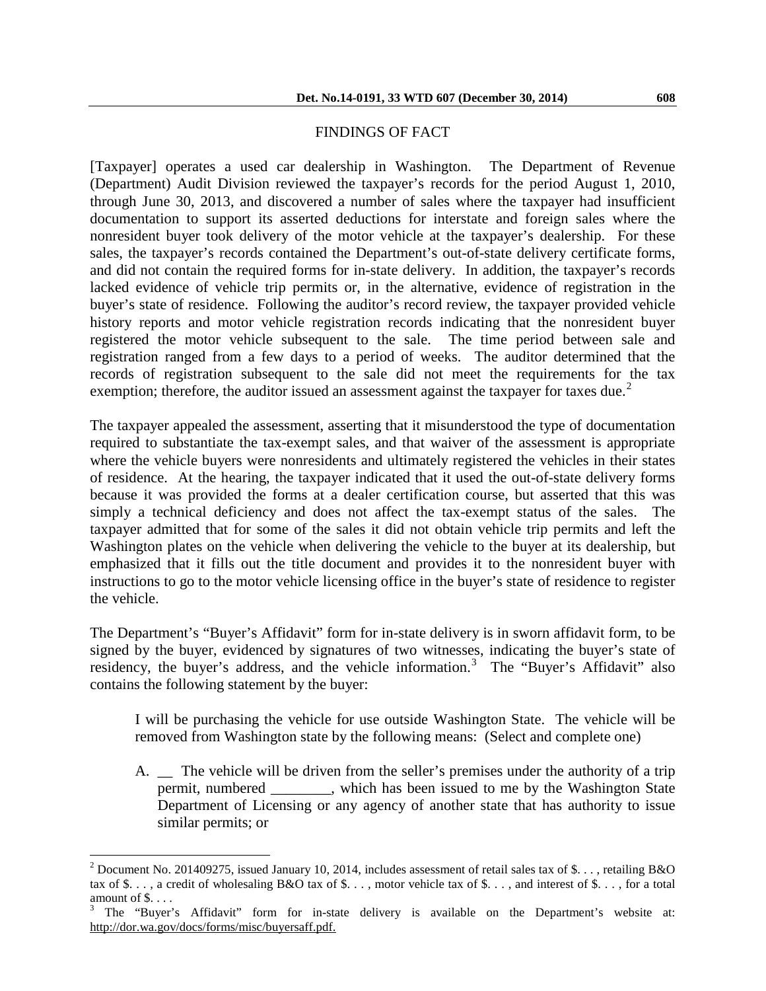### FINDINGS OF FACT

[Taxpayer] operates a used car dealership in Washington. The Department of Revenue (Department) Audit Division reviewed the taxpayer's records for the period August 1, 2010, through June 30, 2013, and discovered a number of sales where the taxpayer had insufficient documentation to support its asserted deductions for interstate and foreign sales where the nonresident buyer took delivery of the motor vehicle at the taxpayer's dealership. For these sales, the taxpayer's records contained the Department's out-of-state delivery certificate forms, and did not contain the required forms for in-state delivery. In addition, the taxpayer's records lacked evidence of vehicle trip permits or, in the alternative, evidence of registration in the buyer's state of residence. Following the auditor's record review, the taxpayer provided vehicle history reports and motor vehicle registration records indicating that the nonresident buyer registered the motor vehicle subsequent to the sale. The time period between sale and registration ranged from a few days to a period of weeks. The auditor determined that the records of registration subsequent to the sale did not meet the requirements for the tax exemption; therefore, the auditor issued an assessment against the taxpayer for taxes due.<sup>[2](#page-1-0)</sup>

The taxpayer appealed the assessment, asserting that it misunderstood the type of documentation required to substantiate the tax-exempt sales, and that waiver of the assessment is appropriate where the vehicle buyers were nonresidents and ultimately registered the vehicles in their states of residence. At the hearing, the taxpayer indicated that it used the out-of-state delivery forms because it was provided the forms at a dealer certification course, but asserted that this was simply a technical deficiency and does not affect the tax-exempt status of the sales. The taxpayer admitted that for some of the sales it did not obtain vehicle trip permits and left the Washington plates on the vehicle when delivering the vehicle to the buyer at its dealership, but emphasized that it fills out the title document and provides it to the nonresident buyer with instructions to go to the motor vehicle licensing office in the buyer's state of residence to register the vehicle.

The Department's "Buyer's Affidavit" form for in-state delivery is in sworn affidavit form, to be signed by the buyer, evidenced by signatures of two witnesses, indicating the buyer's state of residency, the buyer's address, and the vehicle information.<sup>[3](#page-1-1)</sup> The "Buyer's Affidavit" also contains the following statement by the buyer:

I will be purchasing the vehicle for use outside Washington State. The vehicle will be removed from Washington state by the following means: (Select and complete one)

A. The vehicle will be driven from the seller's premises under the authority of a trip permit, numbered \_\_\_\_\_\_\_\_, which has been issued to me by the Washington State Department of Licensing or any agency of another state that has authority to issue similar permits; or

 $\overline{a}$ 

<span id="page-1-0"></span><sup>&</sup>lt;sup>2</sup> Document No. 201409275, issued January 10, 2014, includes assessment of retail sales tax of \$..., retailing B&O tax of  $\$\ldots$ , a credit of wholesaling B&O tax of  $\$\ldots$ , motor vehicle tax of  $\$\ldots$ , and interest of  $\$\ldots$ , for a total amount of \$....<br><sup>3</sup> The "Buyer's Affidavit" form for in-state delivery is available on the Department's website at:

<span id="page-1-1"></span>http://dor.wa.gov/docs/forms/misc/buyersaff.pdf.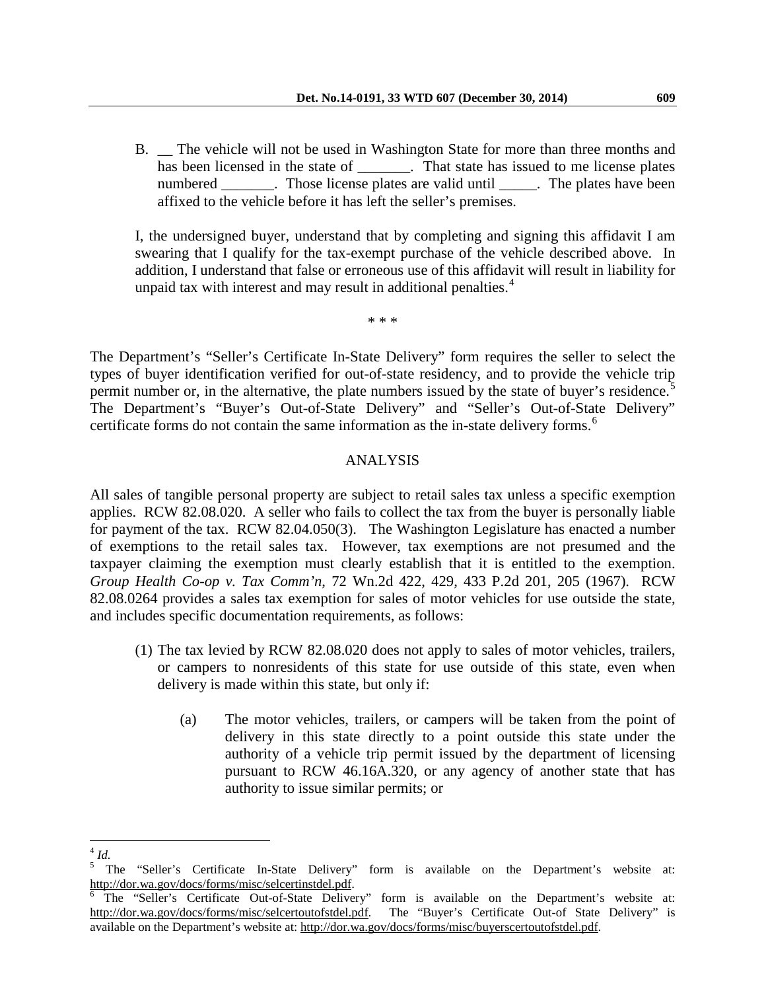B. \_\_ The vehicle will not be used in Washington State for more than three months and has been licensed in the state of That state has issued to me license plates numbered Those license plates are valid until The plates have been affixed to the vehicle before it has left the seller's premises.

I, the undersigned buyer, understand that by completing and signing this affidavit I am swearing that I qualify for the tax-exempt purchase of the vehicle described above. In addition, I understand that false or erroneous use of this affidavit will result in liability for unpaid tax with interest and may result in additional penalties. $4$ 

\* \* \*

The Department's "Seller's Certificate In-State Delivery" form requires the seller to select the types of buyer identification verified for out-of-state residency, and to provide the vehicle trip permit number or, in the alternative, the plate numbers issued by the state of buyer's residence.<sup>[5](#page-2-1)</sup> The Department's "Buyer's Out-of-State Delivery" and "Seller's Out-of-State Delivery" certificate forms do not contain the same information as the in-state delivery forms. [6](#page-2-2)

# ANALYSIS

All sales of tangible personal property are subject to retail sales tax unless a specific exemption applies. RCW 82.08.020. A seller who fails to collect the tax from the buyer is personally liable for payment of the tax. RCW 82.04.050(3). The Washington Legislature has enacted a number of exemptions to the retail sales tax. However, tax exemptions are not presumed and the taxpayer claiming the exemption must clearly establish that it is entitled to the exemption. *Group Health Co-op v. Tax Comm'n*, 72 Wn.2d 422, 429, 433 P.2d 201, 205 (1967). RCW 82.08.0264 provides a sales tax exemption for sales of motor vehicles for use outside the state, and includes specific documentation requirements, as follows:

- (1) The tax levied by RCW 82.08.020 does not apply to sales of motor vehicles, trailers, or campers to nonresidents of this state for use outside of this state, even when delivery is made within this state, but only if:
	- (a) The motor vehicles, trailers, or campers will be taken from the point of delivery in this state directly to a point outside this state under the authority of a vehicle trip permit issued by the department of licensing pursuant to RCW 46.16A.320, or any agency of another state that has authority to issue similar permits; or

<span id="page-2-0"></span> $^4$  *Id.*  $\overline{a}$ 

<sup>5</sup> The "Seller's Certificate In-State Delivery" form is available on the Department's website at:

<span id="page-2-2"></span><span id="page-2-1"></span>http://dor.wa.gov/docs/forms/misc/selcertinstdel.pdf.<br><sup>6</sup> The "Seller's Certificate Out-of-State Delivery" form is available on the Department's website at: http://dor.wa.gov/docs/forms/misc/selcertoutofstdel.pdf. The "Buyer's Certificate Out-of State Delivery" is available on the Department's website at: http://dor.wa.gov/docs/forms/misc/buyerscertoutofstdel.pdf.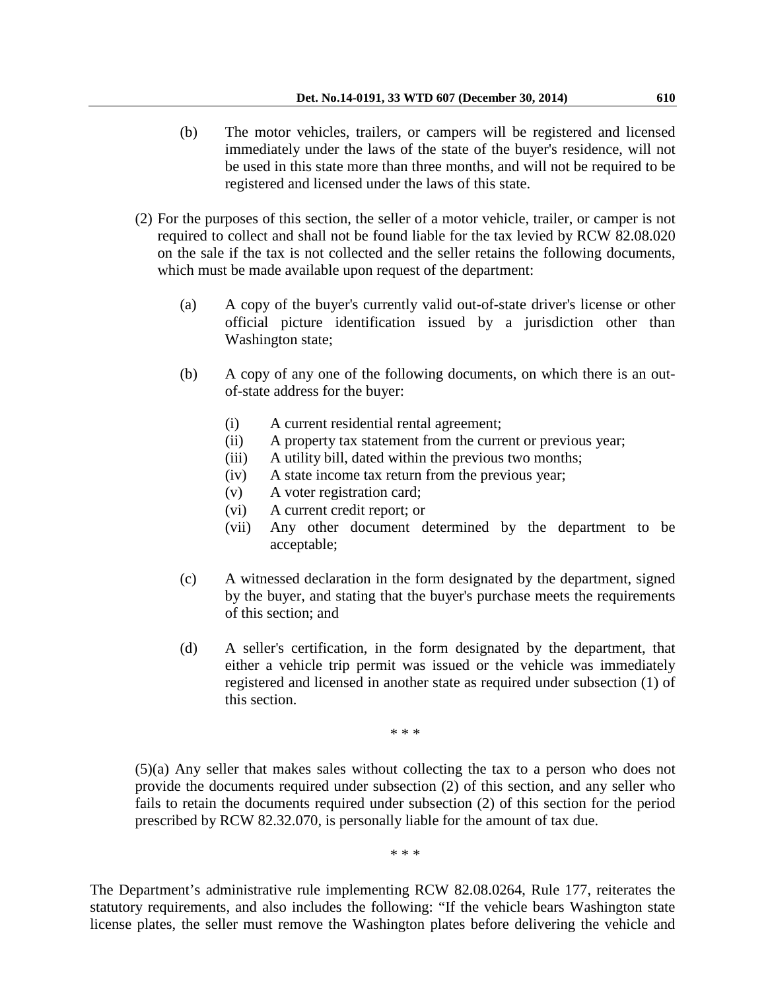- (b) The motor vehicles, trailers, or campers will be registered and licensed immediately under the laws of the state of the buyer's residence, will not be used in this state more than three months, and will not be required to be registered and licensed under the laws of this state.
- (2) For the purposes of this section, the seller of a motor vehicle, trailer, or camper is not required to collect and shall not be found liable for the tax levied by RCW 82.08.020 on the sale if the tax is not collected and the seller retains the following documents, which must be made available upon request of the department:
	- (a) A copy of the buyer's currently valid out-of-state driver's license or other official picture identification issued by a jurisdiction other than Washington state;
	- (b) A copy of any one of the following documents, on which there is an outof-state address for the buyer:
		- (i) A current residential rental agreement;
		- (ii) A property tax statement from the current or previous year;
		- (iii) A utility bill, dated within the previous two months;
		- (iv) A state income tax return from the previous year;
		- (v) A voter registration card;
		- (vi) A current credit report; or
		- (vii) Any other document determined by the department to be acceptable;
	- (c) A witnessed declaration in the form designated by the department, signed by the buyer, and stating that the buyer's purchase meets the requirements of this section; and
	- (d) A seller's certification, in the form designated by the department, that either a vehicle trip permit was issued or the vehicle was immediately registered and licensed in another state as required under subsection (1) of this section.

\* \* \*

(5)(a) Any seller that makes sales without collecting the tax to a person who does not provide the documents required under subsection (2) of this section, and any seller who fails to retain the documents required under subsection (2) of this section for the period prescribed by RCW 82.32.070, is personally liable for the amount of tax due.

\* \* \*

The Department's administrative rule implementing RCW 82.08.0264, Rule 177, reiterates the statutory requirements, and also includes the following: "If the vehicle bears Washington state license plates, the seller must remove the Washington plates before delivering the vehicle and